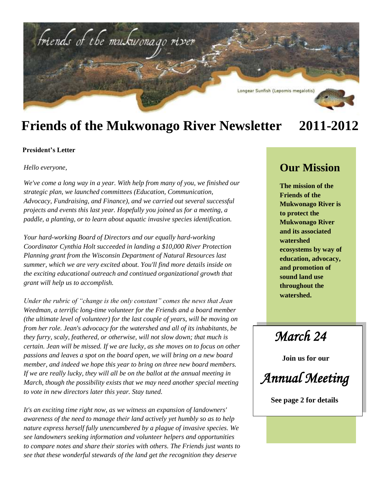

### **Friends of the Mukwonago River Newsletter 2011-2012**

#### **President's Letter**

*Hello everyone,*

*We've come a long way in a year. With help from many of you, we finished our strategic plan, we launched committees (Education, Communication, Advocacy, Fundraising, and Finance), and we carried out several successful projects and events this last year. Hopefully you joined us for a meeting, a paddle, a planting, or to learn about aquatic invasive species identification.* 

*Your hard-working Board of Directors and our equally hard-working Coordinator Cynthia Holt succeeded in landing a \$10,000 River Protection Planning grant from the Wisconsin Department of Natural Resources last summer, which we are very excited about. You'll find more details inside on the exciting educational outreach and continued organizational growth that grant will help us to accomplish.* 

*Under the rubric of "change is the only constant" comes the news that Jean Weedman, a terrific long-time volunteer for the Friends and a board member (the ultimate level of volunteer) for the last couple of years, will be moving on from her role. Jean's advocacy for the watershed and all of its inhabitants, be they furry, scaly, feathered, or otherwise, will not slow down; that much is certain. Jean will be missed. If we are lucky, as she moves on to focus on other passions and leaves a spot on the board open, we will bring on a new board member, and indeed we hope this year to bring on three new board members. If we are really lucky, they will all be on the ballot at the annual meeting in March, though the possibility exists that we may need another special meeting to vote in new directors later this year. Stay tuned.*

*It's an exciting time right now, as we witness an expansion of landowners' awareness of the need to manage their land actively yet humbly so as to help nature express herself fully unencumbered by a plague of invasive species. We see landowners seeking information and volunteer helpers and opportunities to compare notes and share their stories with others. The Friends just wants to see that these wonderful stewards of the land get the recognition they deserve* 

### **Our Mission**

**The mission of the Friends of the Mukwonago River is to protect the Mukwonago River and its associated watershed ecosystems by way of education, advocacy, and promotion of sound land use throughout the watershed.**

 *March 24* 

 **Join us for our**

 *Annual Meeting* 

 **See page 2 for details**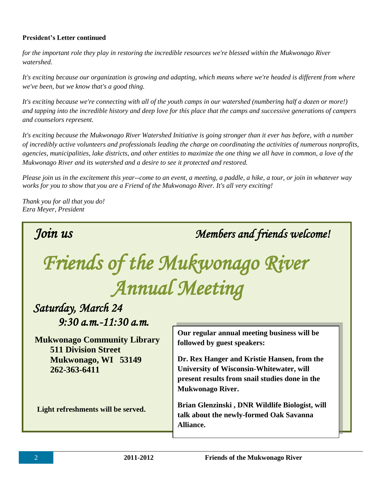#### **President's Letter continued**

*for the important role they play in restoring the incredible resources we're blessed within the Mukwonago River watershed*.

*It's exciting because our organization is growing and adapting, which means where we're headed is different from where we've been, but we know that's a good thing.* 

*It's exciting because we're connecting with all of the youth camps in our watershed (numbering half a dozen or more!) and tapping into the incredible history and deep love for this place that the camps and successive generations of campers and counselors represent.* 

*It's exciting because the Mukwonago River Watershed Initiative is going stronger than it ever has before, with a number of incredibly active volunteers and professionals leading the charge on coordinating the activities of numerous nonprofits, agencies, municipalities, lake districts, and other entities to maximize the one thing we all have in common, a love of the Mukwonago River and its watershed and a desire to see it protected and restored.* 

*Please join us in the excitement this year--come to an event, a meeting, a paddle, a hike, a tour, or join in whatever way works for you to show that you are a Friend of the Mukwonago River. It's all very exciting!*

*Thank you for all that you do! Ezra Meyer, President*



 *Join us Members and friends welcome!* 

# *Friends of the Mukwonago River Annual Meeting*

### *Saturday, March 24 9:30 a.m.-11:30 a.m.*

 **Mukwonago Community Library 511 Division Street Mukwonago, WI 53149 262-363-6411**

 **Light refreshments will be served.**

**Our regular annual meeting business will be followed by guest speakers:**

**Dr. Rex Hanger and Kristie Hansen, from the University of Wisconsin-Whitewater, will present results from snail studies done in the Mukwonago River.**

**Brian Glenzinski , DNR Wildlife Biologist, will talk about the newly-formed Oak Savanna Alliance.**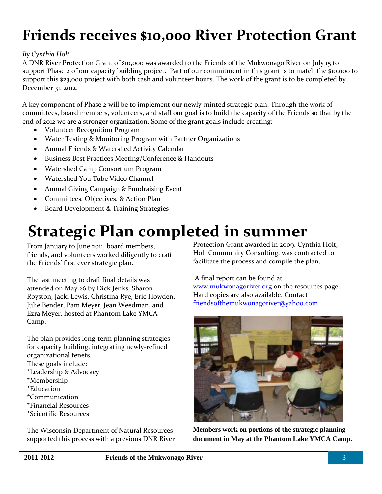## **Friends receives \$10,000 River Protection Grant**

#### *By Cynthia Holt*

A DNR River Protection Grant of \$10,000 was awarded to the Friends of the Mukwonago River on July 15 to support Phase 2 of our capacity building project. Part of our commitment in this grant is to match the \$10,000 to support this \$23,000 project with both cash and volunteer hours. The work of the grant is to be completed by December 31, 2012.

A key component of Phase 2 will be to implement our newly-minted strategic plan. Through the work of committees, board members, volunteers, and staff our goal is to build the capacity of the Friends so that by the end of 2012 we are a stronger organization. Some of the grant goals include creating:

- Volunteer Recognition Program
- Water Testing & Monitoring Program with Partner Organizations
- Annual Friends & Watershed Activity Calendar
- **•** Business Best Practices Meeting/Conference & Handouts
- Watershed Camp Consortium Program
- Watershed You Tube Video Channel
- Annual Giving Campaign & Fundraising Event
- Committees, Objectives, & Action Plan
- Board Development & Training Strategies

## **Strategic Plan completed in summer**

Friends, and volunteers worked diligently to craft<br>
the Friends' first ever strategic plan.<br>
facilitate the process and com From January to June 2011, board members, friends, and volunteers worked diligently to craft

The last meeting to draft final details was attended on May 26 by Dick Jenks, Sharon Royston, Jacki Lewis, Christina Rye, Eric Howden, Julie Bender, Pam Meyer, Jean Weedman, and Ezra Meyer, hosted at Phantom Lake YMCA Camp.

The plan provides long-term planning strategies for capacity building, integrating newly-refined organizational tenets. These goals include: \*Leadership & Advocacy \*Membership \*Education \*Communication \*Financial Resources \*Scientific Resources

The Wisconsin Department of Natural Resources supported this process with a previous DNR River Protection Grant awarded in 2009. Cynthia Holt, Holt Community Consulting, was contracted to facilitate the process and compile the plan.

A final report can be found at [www.mukwonagoriver.org](http://www.mukwonagoriver.org/) on the resources page. Hard copies are also available. Contact [friendsofthemukwonagoriver@yahoo.com.](mailto:friendsofthemukwonagoriver@yahoo.com)



**Members work on portions of the strategic planning document in May at the Phantom Lake YMCA Camp.**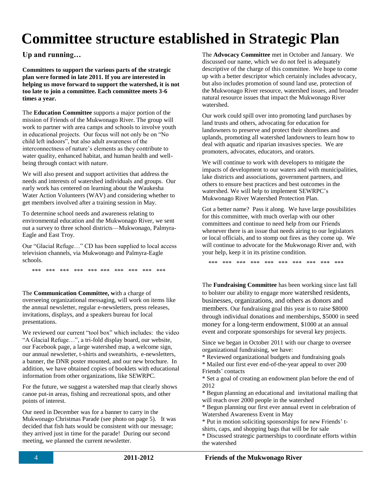## **Committee structure established in Strategic Plan**

**Up and running…**

**Committees to support the various parts of the strategic plan were formed in late 2011. If you are interested in helping us move forward to support the watershed, it is not too late to join a committee. Each committee meets 3-6 times a year.** 

The **Education Committee** supports a major portion of the mission of Friends of the Mukwonago River. The group will work to partner with area camps and schools to involve youth in educational projects. Our focus will not only be on "No child left indoors", but also adult awareness of the interconnectness of nature's elements as they contribute to water quality, enhanced habitat, and human health and wellbeing through contact with nature.

We will also present and support activities that address the needs and interests of watershed individuals and groups. Our early work has centered on learning about the Waukesha Water Action Volunteers (WAV) and considering whether to get members involved after a training session in May.

To determine school needs and awareness relating to environmental education and the Mukwonago River, we sent out a survey to three school districts—Mukwonago, Palmyra-Eagle and East Troy.

Our "Glacial Refuge…" CD has been supplied to local access television channels, via Mukwonago and Palmyra-Eagle schools.

\*\*\* \*\*\* \*\*\* \*\*\* \*\*\* \*\*\* \*\*\* \*\*\* \*\*\* \*\*\*

The **Communication Committee, w**ith a charge of overseeing organizational messaging, will work on items like the annual newsletter, regular e-newsletters, press releases, invitations, displays, and a speakers bureau for local presentations.

We reviewed our current "tool box" which includes: the video "A Glacial Refuge…", a tri-fold display board, our website, our Facebook page, a large watershed map, a welcome sign, our annual newsletter, t-shirts and sweatshirts, e-newsletters, a banner, the DNR poster mounted, and our new brochure. In addition, we have obtained copies of booklets with educational information from other organizations, like SEWRPC.

For the future, we suggest a watershed map that clearly shows canoe put-in areas, fishing and recreational spots, and other points of interest.

Our need in December was for a banner to carry in the Mukwonago Christmas Parade (see photo on page 5). It was decided that fish hats would be consistent with our message; they arrived just in time for the parade! During our second meeting, we planned the current newsletter.

The **Advocacy Committee** met in October and January. We discussed our name, which we do not feel is adequately descriptive of the charge of this committee. We hope to come up with a better descriptor which certainly includes advocacy, but also includes promotion of sound land use, protection of the Mukwonago River resource, watershed issues, and broader natural resource issues that impact the Mukwonago River watershed.

Our work could spill over into promoting land purchases by land trusts and others, advocating for education for landowners to preserve and protect their shorelines and uplands, promoting all watershed landowners to learn how to deal with aquatic and riparian invasives species. We are promoters, advocates, educators, and orators.

We will continue to work with developers to mitigate the impacts of development to our waters and with municipalities, lake districts and associations, government partners, and others to ensure best practices and best outcomes in the watershed. We will help to implement SEWRPC's Mukwonago River Watershed Protection Plan.

Got a better name? Pass it along. We have large possibilities for this committee, with much overlap with our other committees and continue to need help from our Friends whenever there is an issue that needs airing to our legislators or local officials, and to stomp out fires as they come up. We will continue to advocate for the Mukwonago River and, with your help, keep it in its pristine condition.

\*\*\* \*\*\* \*\*\* \*\*\* \*\*\* \*\*\* \*\*\* \*\*\* \*\*\* \*\*\*

The **Fundraising Committee** has been working since last fall to bolster our ability to engage more watershed residents, businesses, organizations, and others as donors and members. Our fundraising goal this year is to raise \$8000 through individual donations and memberships, \$5000 in seed money for a long-term endowment, \$1000 at an annual event and corporate sponsorships for several key projects.

Since we began in October 2011 with our charge to oversee organizational fundraising, we have:

\* Reviewed organizational budgets and fundraising goals

\* Mailed our first ever end-of-the-year appeal to over 200 Friends' contacts

\* Set a goal of creating an endowment plan before the end of 2012

\* Begun planning an educational and invitational mailing that will reach over 2000 people in the watershed

\* Begun planning our first ever annual event in celebration of Watershed Awareness Event in May

\* Put in motion soliciting sponsorships for new Friends' tshirts, caps, and shopping bags that will be for sale

\* Discussed strategic partnerships to coordinate efforts within the watershed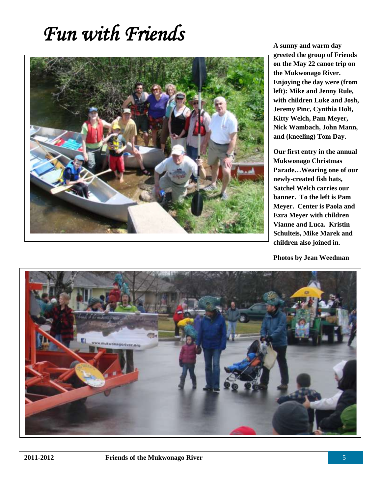## *Fun with Friends*



**A sunny and warm day greeted the group of Friends on the May 22 canoe trip on the Mukwonago River. Enjoying the day were (from left): Mike and Jenny Rule, with children Luke and Josh, Jeremy Pinc, Cynthia Holt, Kitty Welch, Pam Meyer, Nick Wambach, John Mann, and (kneeling) Tom Day.**

**Our first entry in the annual Mukwonago Christmas Parade…Wearing one of our newly-created fish hats, Satchel Welch carries our banner. To the left is Pam Meyer. Center is Paola and Ezra Meyer with children Vianne and Luca. Kristin Schulteis, Mike Marek and children also joined in.** 

**Photos by Jean Weedman**

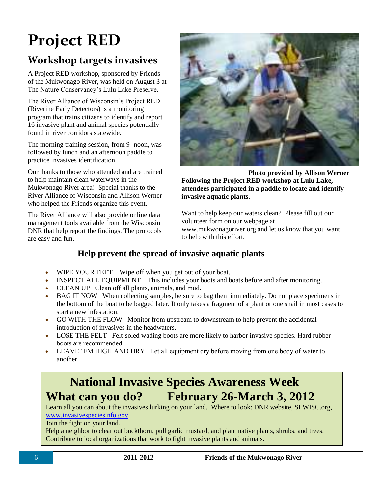# **Project RED**

### **Workshop targets invasives**

A Project RED workshop, sponsored by Friends of the Mukwonago River, was held on August 3 at The Nature Conservancy's Lulu Lake Preserve.

The River Alliance of Wisconsin's Project RED (Riverine Early Detectors) is a monitoring program that trains citizens to identify and report 16 invasive plant and animal species potentially found in river corridors statewide.

The morning training session, from 9- noon, was followed by lunch and an afternoon paddle to practice invasives identification.

Our thanks to those who attended and are trained to help maintain clean waterways in the Mukwonago River area! Special thanks to the River Alliance of Wisconsin and Allison Werner who helped the Friends organize this event.

The River Alliance will also provide online data management tools available from the Wisconsin DNR that help report the findings. The protocols are easy and fun.



 **Photo provided by Allison Werner Following the Project RED workshop at Lulu Lake, attendees participated in a paddle to locate and identify invasive aquatic plants.**

Want to help keep our waters clean? Please fill out our volunteer form on our webpage at www.mukwonagoriver.org and let us know that you want to help with this effort.

### **Help prevent the spread of invasive aquatic plants**

- WIPE YOUR FEET Wipe off when you get out of your boat.
- INSPECT ALL EQUIPMENT This includes your boots and boats before and after monitoring.
- CLEAN UP Clean off all plants, animals, and mud.
- BAG IT NOW When collecting samples, be sure to bag them immediately. Do not place specimens in the bottom of the boat to be bagged later. It only takes a fragment of a plant or one snail in most cases to start a new infestation.
- GO WITH THE FLOW Monitor from upstream to downstream to help prevent the accidental introduction of invasives in the headwaters.
- LOSE THE FELT Felt-soled wading boots are more likely to harbor invasive species. Hard rubber boots are recommended.
- LEAVE 'EM HIGH AND DRY Let all equipment dry before moving from one body of water to another.

### **National Invasive Species Awareness Week What can you do? February 26-March 3, 2012**

Learn all you can about the invasives lurking on your land. Where to look: DNR website, SEWISC.org, [www.invasivespeciesinfo.gov](http://www.invasivespeciesinfo.gov/)

Join the fight on your land.

Help a neighbor to clear out buckthorn, pull garlic mustard, and plant native plants, shrubs, and trees. Contribute to local organizations that work to fight invasive plants and animals.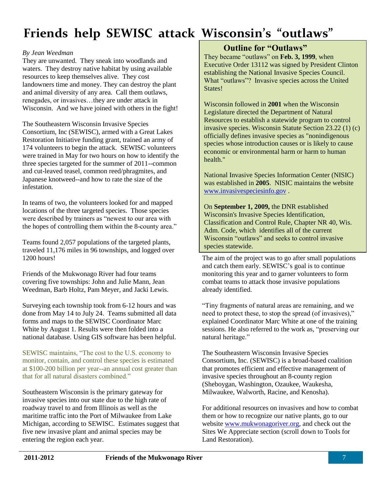### **Friends help SEWISC attack Wisconsin's "outlaws"**

#### *By Jean Weedman*

They are unwanted. They sneak into woodlands and waters. They destroy native habitat by using available resources to keep themselves alive. They cost landowners time and money. They can destroy the plant and animal diversity of any area. Call them outlaws, renegades, or invasives…they are under attack in Wisconsin. And we have joined with others in the fight!

The Southeastern Wisconsin Invasive Species Consortium, Inc (SEWISC), armed with a Great Lakes Restoration Initiative funding grant, trained an army of 174 volunteers to begin the attack. SEWISC volunteers were trained in May for two hours on how to identify the three species targeted for the summer of 2011--common and cut-leaved teasel, common reed/phragmites, and Japanese knotweed--and how to rate the size of the infestation.

In teams of two, the volunteers looked for and mapped locations of the three targeted species. Those species were described by trainers as "newest to our area with the hopes of controlling them within the 8-county area."

Teams found 2,057 populations of the targeted plants, traveled 11,176 miles in 96 townships, and logged over 1200 hours!

Friends of the Mukwonago River had four teams covering five townships: John and Julie Mann, Jean Weedman, Barb Holtz, Pam Meyer, and Jacki Lewis.

Surveying each township took from 6-12 hours and was done from May 14 to July 24. Teams submitted all data forms and maps to the SEWISC Coordinator Marc White by August 1. Results were then folded into a national database. Using GIS software has been helpful.

SEWISC maintains, "The cost to the U.S. economy to monitor, contain, and control these species is estimated at \$100-200 billion per year--an annual cost greater than that for all natural disasters combined."

Southeastern Wisconsin is the primary gateway for invasive species into our state due to the high rate of roadway travel to and from Illinois as well as the maritime traffic into the Port of Milwaukee from Lake Michigan, according to SEWISC.Estimates suggest that five new invasive plant and animal species may be entering the region each year.

#### **Outline for "Outlaws"**

They became "outlaws" on **Feb. 3, 1999**, when Executive Order 13112 was signed by President Clinton establishing the National Invasive Species Council. What "outlaws"? Invasive species across the United States!

Wisconsin followed in **2001** when the Wisconsin Legislature directed the Department of Natural Resources to establish a statewide program to control invasive species. Wisconsin Statute Section 23.22 (1) (c) officially defines invasive species as "nonindigenous species whose introduction causes or is likely to cause economic or environmental harm or harm to human health."

National Invasive Species Information Center (NISIC) was established in **2005**. NISIC maintains the website [www.invasivespeciesinfo.gov](http://www.invasivespeciesinfo.gov/) .

On **September 1, 2009,** the DNR established Wisconsin's Invasive Species Identification, Classification and Control Rule, Chapter NR 40, Wis. Adm. Code, which identifies all of the current Wisconsin "outlaws" and seeks to control invasive species statewide.

The aim of the project was to go after small populations and catch them early. SEWISC's goal is to continue monitoring this year and to garner volunteers to form combat teams to attack those invasive populations already identified.

"Tiny fragments of natural areas are remaining, and we need to protect these, to stop the spread (of invasives)," explained Coordinator Marc White at one of the training sessions. He also referred to the work as, "preserving our natural heritage."

The Southeastern Wisconsin Invasive Species Consortium, Inc. (SEWISC) is a broad-based coalition that promotes efficient and effective management of invasive species throughout an 8-county region (Sheboygan, Washington, Ozaukee, Waukesha, Milwaukee, Walworth, Racine, and Kenosha).

For additional resources on invasives and how to combat them or how to recognize our native plants, go to our website [www.mukwonagoriver.org,](http://www.mukwonagoriver.org/) and check out the Sites We Appreciate section (scroll down to Tools for Land Restoration).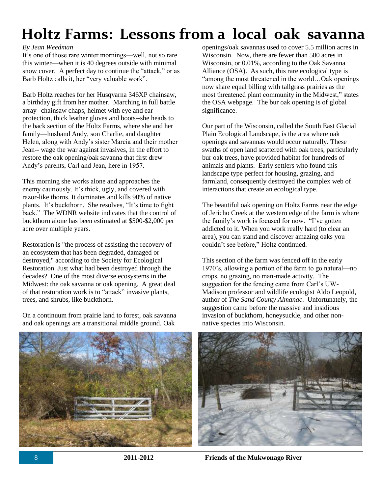## **Holtz Farms: Lessons from a local oak savanna**

#### *By Jean Weedman*

It's one of those rare winter mornings—well, not so rare this winter—when it is 40 degrees outside with minimal snow cover. A perfect day to continue the "attack," or as Barb Holtz calls it, her "very valuable work".

Barb Holtz reaches for her Husqvarna 346XP chainsaw, a birthday gift from her mother. Marching in full battle array--chainsaw chaps, helmet with eye and ear protection, thick leather gloves and boots--she heads to the back section of the Holtz Farms, where she and her family—husband Andy, son Charlie, and daughter Helen, along with Andy's sister Marcia and their mother Jean-- wage the war against invasives, in the effort to restore the oak opening/oak savanna that first drew Andy's parents, Carl and Jean, here in 1957.

This morning she works alone and approaches the enemy cautiously. It's thick, ugly, and covered with razor-like thorns. It dominates and kills 90% of native plants. It's buckthorn. She resolves, "It's time to fight back." The WDNR website indicates that the control of buckthorn alone has been estimated at \$500-\$2,000 per acre over multiple years.

Restoration is "the process of assisting the recovery of an ecosystem that has been degraded, damaged or destroyed," according to the Society for Ecological Restoration. Just what had been destroyed through the decades? One of the most diverse ecosystems in the Midwest: the oak savanna or oak opening. A great deal of that restoration work is to "attack" invasive plants, trees, and shrubs, like buckthorn.

On a continuum from prairie land to forest, oak savanna and oak openings are a transitional middle ground. Oak

openings/oak savannas used to cover 5.5 million acres in Wisconsin. Now, there are fewer than 500 acres in Wisconsin, or 0.01%, according to the Oak Savanna Alliance (OSA). As such, this rare ecological type is "among the most threatened in the world…Oak openings now share equal billing with tallgrass prairies as the most threatened plant community in the Midwest," states the OSA webpage. The bur oak opening is of global significance.

Our part of the Wisconsin, called the South East Glacial Plain Ecological Landscape, is the area where oak openings and savannas would occur naturally. These swaths of open land scattered with oak trees, particularly bur oak trees, have provided habitat for hundreds of animals and plants. Early settlers who found this landscape type perfect for housing, grazing, and farmland, consequently destroyed the complex web of interactions that create an ecological type.

The beautiful oak opening on Holtz Farms near the edge of Jericho Creek at the western edge of the farm is where the family's work is focused for now. "I've gotten addicted to it. When you work really hard (to clear an area), you can stand and discover amazing oaks you couldn't see before," Holtz continued.

This section of the farm was fenced off in the early 1970's, allowing a portion of the farm to go natural—no crops, no grazing, no man-made activity. The suggestion for the fencing came from Carl's UW-Madison professor and wildlife ecologist Aldo Leopold, author of *The Sand County Almanac*. Unfortunately, the suggestion came before the massive and insidious invasion of buckthorn, honeysuckle, and other nonnative species into Wisconsin.



8 **2011-2012 Friends of the Mukwonago River**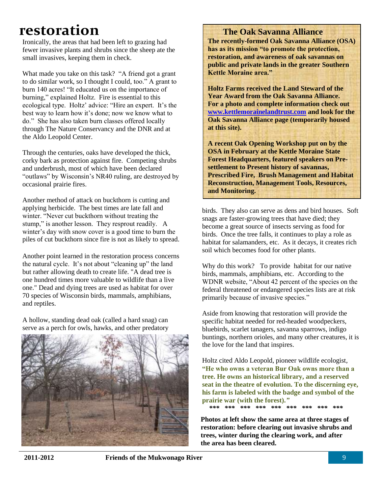### **restoration**

Ironically, the areas that had been left to grazing had fewer invasive plants and shrubs since the sheep ate the small invasives, keeping them in check.

What made you take on this task? "A friend got a grant to do similar work, so I thought I could, too." A grant to burn 140 acres! "It educated us on the importance of burning," explained Holtz. Fire is essential to this ecological type. Holtz' advice: "Hire an expert. It's the best way to learn how it's done; now we know what to do." She has also taken burn classes offered locally through The Nature Conservancy and the DNR and at the Aldo Leopold Center.

Through the centuries, oaks have developed the thick, corky bark as protection against fire. Competing shrubs and underbrush, most of which have been declared "outlaws" by Wisconsin's NR40 ruling, are destroyed by occasional prairie fires.

Another method of attack on buckthorn is cutting and applying herbicide. The best times are late fall and winter. "Never cut buckthorn without treating the stump," is another lesson. They resprout readily. A winter's day with snow cover is a good time to burn the piles of cut buckthorn since fire is not as likely to spread.

Another point learned in the restoration process concerns the natural cycle. It's not about "cleaning up" the land but rather allowing death to create life. "A dead tree is one hundred times more valuable to wildlife than a live one." Dead and dying trees are used as habitat for over 70 species of Wisconsin birds, mammals, amphibians, and reptiles.

A hollow, standing dead oak (called a hard snag) can serve as a perch for owls, hawks, and other predatory



 **The Oak Savanna Alliance**

**The recently-formed Oak Savanna Alliance (OSA) has as its mission "to promote the protection, restoration, and awareness of oak savannas on public and private lands in the greater Southern Kettle Moraine area."** 

**Holtz Farms received the Land Steward of the Year Award from the Oak Savanna Alliance. For a photo and complete information check out [www.kettlemorainelandtrust.com](http://www.kettlemorainelandtrust.com/) and look for the Oak Savanna Alliance page (temporarily housed at this site).**

**A recent Oak Opening Workshop put on by the OSA in February at the Kettle Moraine State Forest Headquarters, featured speakers on Presettlement to Present history of savannas, Prescribed Fire, Brush Management and Habitat Reconstruction, Management Tools, Resources, and Monitoring.**

birds. They also can serve as dens and bird houses. Soft snags are faster-growing trees that have died; they become a great source of insects serving as food for birds. Once the tree falls, it continues to play a role as habitat for salamanders, etc. As it decays, it creates rich soil which becomes food for other plants.

Why do this work? To provide habitat for our native birds, mammals, amphibians, etc. According to the WDNR website, "About 42 percent of the species on the federal threatened or endangered species lists are at risk primarily because of invasive species."

Aside from knowing that restoration will provide the specific habitat needed for red-headed woodpeckers, bluebirds, scarlet tanagers, savanna sparrows, indigo buntings, northern orioles, and many other creatures, it is the love for the land that inspires.

Holtz cited Aldo Leopold, pioneer wildlife ecologist, **"He who owns a veteran Bur Oak owns more than a tree. He owns an historical library, and a reserved seat in the theatre of evolution. To the discerning eye, his farm is labeled with the badge and symbol of the prairie war (with the forest).***"*

 *\*\*\* \*\*\* \*\*\* \*\*\* \*\*\* \*\*\* \*\*\* \*\*\* \*\*\** 

**Photos at left show the same area at three stages of restoration: before clearing out invasive shrubs and trees, winter during the clearing work, and after the area has been cleared.**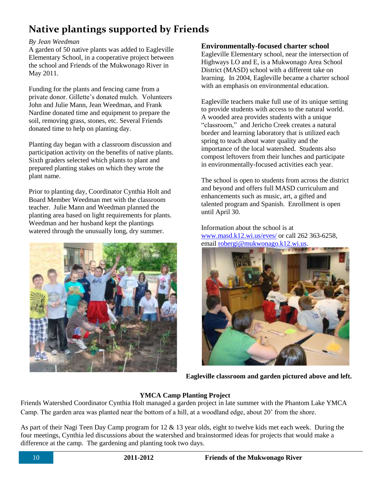### **Native plantings supported by Friends**

#### *By Jean Weedman*

A garden of 50 native plants was added to Eagleville Elementary School, in a cooperative project between the school and Friends of the Mukwonago River in May 2011.

Funding for the plants and fencing came from a private donor. Gillette's donated mulch. Volunteers John and Julie Mann, Jean Weedman, and Frank Nardine donated time and equipment to prepare the soil, removing grass, stones, etc. Several Friends donated time to help on planting day.

Planting day began with a classroom discussion and participation activity on the benefits of native plants. Sixth graders selected which plants to plant and prepared planting stakes on which they wrote the plant name.

Prior to planting day, Coordinator Cynthia Holt and Board Member Weedman met with the classroom teacher. Julie Mann and Weedman planned the planting area based on light requirements for plants. Weedman and her husband kept the plantings watered through the unusually long, dry summer.



#### **Environmentally-focused charter school**

Eagleville Elementary school, near the intersection of Highways LO and E, is a Mukwonago Area School District (MASD) school with a different take on learning. In 2004, Eagleville became a charter school with an emphasis on environmental education.

Eagleville teachers make full use of its unique setting to provide students with access to the natural world. A wooded area provides students with a unique "classroom," and Jericho Creek creates a natural border and learning laboratory that is utilized each spring to teach about water quality and the importance of the local watershed. Students also compost leftovers from their lunches and participate in environmentally-focused activities each year.

The school is open to students from across the district and beyond and offers full MASD curriculum and enhancements such as music, art, a gifted and talented program and Spanish. Enrollment is open until April 30.

Information about the school is at [www.masd.k12.wi.us/eves/](http://www.masd.k12.wi.us/eves/) or call 262 363-6258, email [robergi@mukwonago.k12.wi.us.](mailto:robergi@mukwonago.k12.wi.us)



**Eagleville classroom and garden pictured above and left.**

#### **YMCA Camp Planting Project**

Friends Watershed Coordinator Cynthia Holt managed a garden project in late summer with the Phantom Lake YMCA Camp. The garden area was planted near the bottom of a hill, at a woodland edge, about 20' from the shore.

As part of their Nagi Teen Day Camp program for 12 & 13 year olds, eight to twelve kids met each week. During the four meetings, Cynthia led discussions about the watershed and brainstormed ideas for projects that would make a difference at the camp. The gardening and planting took two days.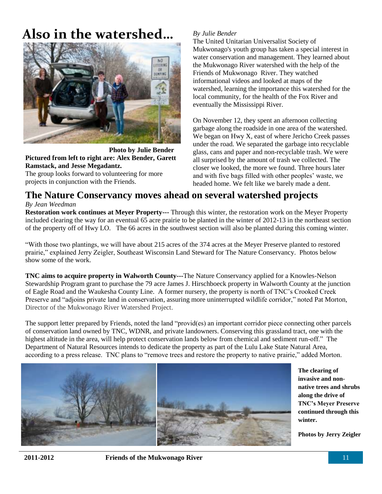## **Also in the watershed…** *By Julie Bender*



 **Photo by Julie Bender Pictured from left to right are: Alex Bender, Garett Ramstack, and Jesse Megadantz.**

The group looks forward to volunteering for more projects in conjunction with the Friends.

The United Unitarian Universalist Society of Mukwonago's youth group has taken a special interest in water conservation and management. They learned about the Mukwonago River watershed with the help of the Friends of Mukwonago River. They watched informational videos and looked at maps of the watershed, learning the importance this watershed for the local community, for the health of the Fox River and eventually the Mississippi River.

On November 12, they spent an afternoon collecting garbage along the roadside in one area of the watershed. We began on Hwy X, east of where Jericho Creek passes under the road. We separated the garbage into recyclable glass, cans and paper and non-recyclable trash. We were all surprised by the amount of trash we collected. The closer we looked, the more we found. Three hours later and with five bags filled with other peoples' waste, we headed home. We felt like we barely made a dent.

### **The Nature Conservancy moves ahead on several watershed projects** *By Jean Weedman*

**Restoration work continues at Meyer Property---** Through this winter, the restoration work on the Meyer Property included clearing the way for an eventual 65 acre prairie to be planted in the winter of 2012-13 in the northeast section of the property off of Hwy LO. The 66 acres in the southwest section will also be planted during this coming winter.

"With those two plantings, we will have about 215 acres of the 374 acres at the Meyer Preserve planted to restored prairie," explained Jerry Zeigler, Southeast Wisconsin Land Steward for The Nature Conservancy. Photos below show some of the work.

**TNC aims to acquire property in Walworth County---**The Nature Conservancy applied for a Knowles-Nelson Stewardship Program grant to purchase the 79 acre James J. Hirschboeck property in Walworth County at the junction of Eagle Road and the Waukesha County Line. A former nursery, the property is north of TNC's Crooked Creek Preserve and "adjoins private land in conservation, assuring more uninterrupted wildlife corridor," noted Pat Morton, Director of the Mukwonago River Watershed Project.

The support letter prepared by Friends, noted the land "provid(es) an important corridor piece connecting other parcels of conservation land owned by TNC, WDNR, and private landowners. Conserving this grassland tract, one with the highest altitude in the area, will help protect conservation lands below from chemical and sediment run-off." The Department of Natural Resources intends to dedicate the property as part of the Lulu Lake State Natural Area, according to a press release. TNC plans to "remove trees and restore the property to native prairie," added Morton.



**The clearing of invasive and nonnative trees and shrubs along the drive of TNC's Meyer Preserve continued through this winter.**

**Photos by Jerry Zeigler**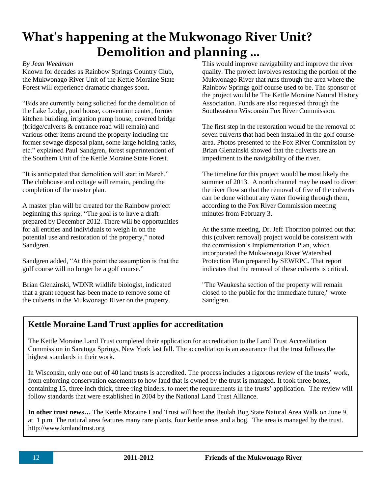### **What's happening at the Mukwonago River Unit? Demolition and planning …**

#### *By Jean Weedman*

Known for decades as Rainbow Springs Country Club, the Mukwonago River Unit of the Kettle Moraine State Forest will experience dramatic changes soon.

"Bids are currently being solicited for the demolition of the Lake Lodge, pool house, convention center, former kitchen building, irrigation pump house, covered bridge (bridge/culverts & entrance road will remain) and various other items around the property including the former sewage disposal plant, some large holding tanks, etc." explained Paul Sandgren, forest superintendent of the Southern Unit of the Kettle Moraine State Forest.

"It is anticipated that demolition will start in March." The clubhouse and cottage will remain, pending the completion of the master plan.

A master plan will be created for the Rainbow project beginning this spring. "The goal is to have a draft prepared by December 2012. There will be opportunities for all entities and individuals to weigh in on the potential use and restoration of the property," noted Sandgren.

Sandgren added, "At this point the assumption is that the golf course will no longer be a golf course."

Brian Glenzinski, WDNR wildlife biologist, indicated that a grant request has been made to remove some of the culverts in the Mukwonago River on the property.

This would improve navigability and improve the river quality. The project involves restoring the portion of the Mukwonago River that runs through the area where the Rainbow Springs golf course used to be. The sponsor of the project would be The Kettle Moraine Natural History Association. Funds are also requested through the Southeastern Wisconsin Fox River Commission.

The first step in the restoration would be the removal of seven culverts that had been installed in the golf course area. Photos presented to the Fox River Commission by Brian Glenzinski showed that the culverts are an impediment to the navigability of the river.

The timeline for this project would be most likely the summer of 2013. A north channel may be used to divert the river flow so that the removal of five of the culverts can be done without any water flowing through them, according to the Fox River Commission meeting minutes from February 3.

At the same meeting, Dr. Jeff Thornton pointed out that this (culvert removal) project would be consistent with the commission's Implementation Plan, which incorporated the Mukwonago River Watershed Protection Plan prepared by SEWRPC. That report indicates that the removal of these culverts is critical.

"The Waukesha section of the property will remain closed to the public for the immediate future," wrote Sandgren.

### **Kettle Moraine Land Trust applies for accreditation**

The Kettle Moraine Land Trust completed their application for accreditation to the Land Trust Accreditation Commission in Saratoga Springs, New York last fall. The accreditation is an assurance that the trust follows the highest standards in their work.

In Wisconsin, only one out of 40 land trusts is accredited. The process includes a rigorous review of the trusts' work, from enforcing conservation easements to how land that is owned by the trust is managed. It took three boxes, containing 15, three inch thick, three-ring binders, to meet the requirements in the trusts' application. The review will follow standards that were established in 2004 by the National Land Trust Alliance.

**In other trust news…** The Kettle Moraine Land Trust will host the Beulah Bog State Natural Area Walk on June 9, at 1 p.m. The natural area features many rare plants, four kettle areas and a bog. The area is managed by the trust. http://www.kmlandtrust.org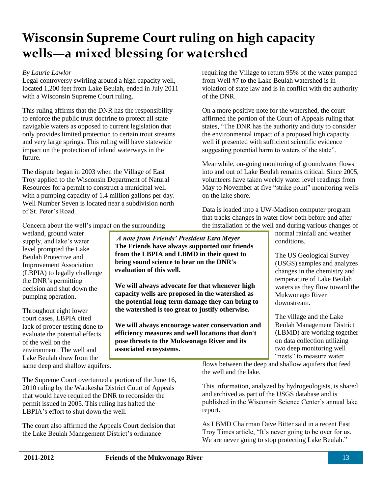### **Wisconsin Supreme Court ruling on high capacity wells—a mixed blessing for watershed**

#### *By Laurie Lawlor*

Legal controversy swirling around a high capacity well, located 1,200 feet from Lake Beulah, ended in July 2011 with a Wisconsin Supreme Court ruling.

This ruling affirms that the DNR has the responsibility to enforce the public trust doctrine to protect all state navigable waters as opposed to current legislation that only provides limited protection to certain trout streams and very large springs. This ruling will have statewide impact on the protection of inland waterways in the future.

The dispute began in 2003 when the Village of East Troy applied to the Wisconsin Department of Natural Resources for a permit to construct a municipal well with a pumping capacity of 1.4 million gallons per day. Well Number Seven is located near a subdivision north of St. Peter's Road.

requiring the Village to return 95% of the water pumped from Well #7 to the Lake Beulah watershed is in violation of state law and is in conflict with the authority of the DNR.

On a more positive note for the watershed, the court affirmed the portion of the Court of Appeals ruling that states, "The DNR has the authority and duty to consider the environmental impact of a proposed high capacity well if presented with sufficient scientific evidence suggesting potential harm to waters of the state".

Meanwhile, on-going monitoring of groundwater flows into and out of Lake Beulah remains critical. Since 2005, volunteers have taken weekly water level readings from May to November at five "strike point" monitoring wells on the lake shore.

Data is loaded into a UW-Madison computer program that tracks changes in water flow both before and after the installation of the well and during various changes of

Concern about the well's impact on the surrounding

wetland, ground water supply, and lake's water level prompted the Lake Beulah Protective and Improvement Association (LBPIA) to legally challenge the DNR's permitting decision and shut down the pumping operation.

Throughout eight lower court cases, LBPIA cited lack of proper testing done to evaluate the potential effects of the well on the environment. The well and Lake Beulah draw from the same deep and shallow aquifers.

*A note from Friends' President Ezra Meyer* **The Friends have always supported our friends from the LBPIA and LBMD in their quest to bring sound science to bear on the DNR's evaluation of this well.** 

**We will always advocate for that whenever high capacity wells are proposed in the watershed as the potential long-term damage they can bring to the watershed is too great to justify otherwise.** 

**We will always encourage water conservation and efficiency measures and well locations that don't pose threats to the Mukwonago River and its associated ecosystems.**

normal rainfall and weather conditions.

The US Geological Survey (USGS) samples and analyzes changes in the chemistry and temperature of Lake Beulah waters as they flow toward the Mukwonago River downstream.

The village and the Lake Beulah Management District (LBMD) are working together on data collection utilizing two deep monitoring well "nests" to measure water

flows between the deep and shallow aquifers that feed the well and the lake.

This information, analyzed by hydrogeologists, is shared and archived as part of the USGS database and is published in the Wisconsin Science Center's annual lake report.

As LBMD Chairman Dave Bitter said in a recent East Troy Times article, "It's never going to be over for us. We are never going to stop protecting Lake Beulah."

The Supreme Court overturned a portion of the June 16, 2010 ruling by the Waukesha District Court of Appeals that would have required the DNR to reconsider the permit issued in 2005. This ruling has halted the LBPIA's effort to shut down the well.

The court also affirmed the Appeals Court decision that the Lake Beulah Management District's ordinance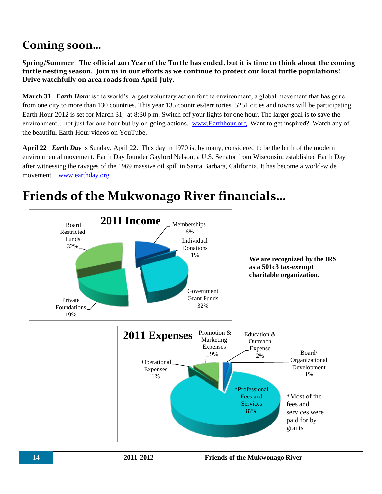### **Coming soon…**

**Spring/Summer The official 2011 Year of the Turtle has ended, but it is time to think about the coming turtle nesting season. Join us in our efforts as we continue to protect our local turtle populations! Drive watchfully on area roads from April-July.**

**March 31** *Earth Hour* is the world's largest voluntary action for the environment, a global movement that has gone from one city to more than 130 countries. This year 135 countries/territories, 5251 cities and towns will be participating. Earth Hour 2012 is set for March 31, at 8:30 p.m. Switch off your lights for one hour. The larger goal is to save the environment…not just for one hour but by on-going actions. [www.Earthhour.org](http://www.earthhour.org/) Want to get inspired? Watch any of the beautiful Earth Hour videos on YouTube.

**April 22** *Earth Day* is Sunday, April 22. This day in 1970 is, by many, considered to be the birth of the modern environmental movement. Earth Day founder Gaylord Nelson, a U.S. Senator from Wisconsin, established Earth Day after witnessing the ravages of the 1969 massive oil spill in Santa Barbara, California. It has become a world-wide movement. [www.earthday.org](http://www.earthday.org/)



### **Friends of the Mukwonago River financials…**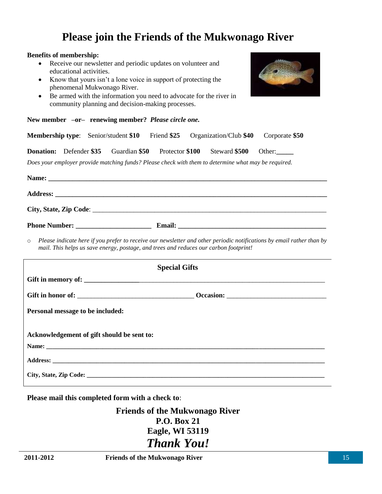### **Please join the Friends of the Mukwonago River**

#### **Benefits of membership:**

- Receive our newsletter and periodic updates on volunteer and educational activities.
- Know that yours isn't a lone voice in support of protecting the phenomenal Mukwonago River.
- Be armed with the information you need to advocate for the river in community planning and decision-making processes.



| New member -or- renewing member? Please circle one. |  |
|-----------------------------------------------------|--|
|-----------------------------------------------------|--|

|                                  |  |  |  |                      | <b>Membership type:</b> Senior/student \$10 Friend \$25 Organization/Club \$40                       | Corporate \$50                                                                                                        |  |
|----------------------------------|--|--|--|----------------------|------------------------------------------------------------------------------------------------------|-----------------------------------------------------------------------------------------------------------------------|--|
|                                  |  |  |  |                      | <b>Donation:</b> Defender \$35 Guardian \$50 Protector \$100 Steward \$500 Other:                    |                                                                                                                       |  |
|                                  |  |  |  |                      | Does your employer provide matching funds? Please check with them to determine what may be required. |                                                                                                                       |  |
|                                  |  |  |  |                      |                                                                                                      |                                                                                                                       |  |
|                                  |  |  |  |                      |                                                                                                      |                                                                                                                       |  |
|                                  |  |  |  |                      |                                                                                                      |                                                                                                                       |  |
|                                  |  |  |  |                      |                                                                                                      |                                                                                                                       |  |
| $\circ$                          |  |  |  |                      | mail. This helps us save energy, postage, and trees and reduces our carbon footprint!                | Please indicate here if you prefer to receive our newsletter and other periodic notifications by email rather than by |  |
|                                  |  |  |  | <b>Special Gifts</b> |                                                                                                      |                                                                                                                       |  |
|                                  |  |  |  |                      |                                                                                                      |                                                                                                                       |  |
|                                  |  |  |  |                      |                                                                                                      |                                                                                                                       |  |
| Personal message to be included: |  |  |  |                      |                                                                                                      |                                                                                                                       |  |
|                                  |  |  |  |                      |                                                                                                      |                                                                                                                       |  |

| Acknowledgement of gift should be sent to: |
|--------------------------------------------|
|                                            |
|                                            |
|                                            |

**Please mail this completed form with a check to**:

**Friends of the Mukwonago River P.O. Box 21 Eagle, WI 53119** *Thank You!*